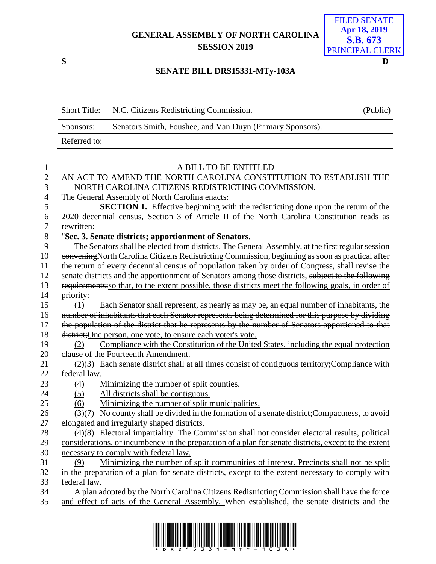## **GENERAL ASSEMBLY OF NORTH CAROLINA SESSION 2019**



## **SENATE BILL DRS15331-MTy-103A**

|              | Short Title: N.C. Citizens Redistricting Commission.      | (Public) |
|--------------|-----------------------------------------------------------|----------|
| Sponsors:    | Senators Smith, Foushee, and Van Duyn (Primary Sponsors). |          |
| Referred to: |                                                           |          |

| 1              | A BILL TO BE ENTITLED                                                                                             |
|----------------|-------------------------------------------------------------------------------------------------------------------|
| $\overline{2}$ | AN ACT TO AMEND THE NORTH CAROLINA CONSTITUTION TO ESTABLISH THE                                                  |
| 3              | NORTH CAROLINA CITIZENS REDISTRICTING COMMISSION.                                                                 |
| $\overline{4}$ | The General Assembly of North Carolina enacts:                                                                    |
| 5              | <b>SECTION 1.</b> Effective beginning with the redistricting done upon the return of the                          |
| 6              | 2020 decennial census, Section 3 of Article II of the North Carolina Constitution reads as                        |
| $\overline{7}$ | rewritten:                                                                                                        |
| $8\,$          | "Sec. 3. Senate districts; apportionment of Senators.                                                             |
| 9              | The Senators shall be elected from districts. The General Assembly, at the first regular session                  |
| 10             | convening North Carolina Citizens Redistricting Commission, beginning as soon as practical after                  |
| 11             | the return of every decennial census of population taken by order of Congress, shall revise the                   |
| 12             | senate districts and the apportionment of Senators among those districts, subject to the following                |
| 13             | requirements: so that, to the extent possible, those districts meet the following goals, in order of              |
| 14             | priority:                                                                                                         |
| 15             | Each Senator shall represent, as nearly as may be, an equal number of inhabitants, the<br>(1)                     |
| 16             | number of inhabitants that each Senator represents being determined for this purpose by dividing                  |
| 17             | the population of the district that he represents by the number of Senators apportioned to that                   |
| 18             | district; One person, one vote, to ensure each voter's vote.                                                      |
| 19             | Compliance with the Constitution of the United States, including the equal protection<br>(2)                      |
| 20             | clause of the Fourteenth Amendment.                                                                               |
| 21             | $(2)(3)$ Each senate district shall at all times consist of contiguous territory; Compliance with                 |
| 22             | federal law.                                                                                                      |
| 23             | Minimizing the number of split counties.<br>(4)                                                                   |
| 24             | All districts shall be contiguous.<br>(5)                                                                         |
| 25             | Minimizing the number of split municipalities.<br>(6)                                                             |
| 26             | (3)(7) No county shall be divided in the formation of a senate district; Compactness, to avoid                    |
| 27             | elongated and irregularly shaped districts.                                                                       |
| 28             | $\left(\frac{4}{8}\right)$ Electoral impartiality. The Commission shall not consider electoral results, political |
| 29             | considerations, or incumbency in the preparation of a plan for senate districts, except to the extent             |
| 30             | necessary to comply with federal law.                                                                             |
| 31             | Minimizing the number of split communities of interest. Precincts shall not be split<br>(9)                       |
| 32             | in the preparation of a plan for senate districts, except to the extent necessary to comply with                  |
| 33             | federal law.                                                                                                      |
| 34             | A plan adopted by the North Carolina Citizens Redistricting Commission shall have the force                       |
| 35             | and effect of acts of the General Assembly. When established, the senate districts and the                        |
|                |                                                                                                                   |

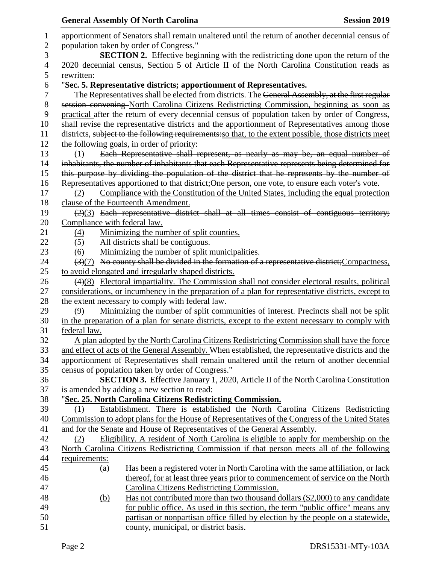## **General Assembly Of North Carolina Session 2019 Session 2019**  apportionment of Senators shall remain unaltered until the return of another decennial census of population taken by order of Congress." **SECTION 2.** Effective beginning with the redistricting done upon the return of the 2020 decennial census, Section 5 of Article II of the North Carolina Constitution reads as rewritten: "**Sec. 5. Representative districts; apportionment of Representatives.** The Representatives shall be elected from districts. The General Assembly, at the first regular session convening North Carolina Citizens Redistricting Commission, beginning as soon as practical after the return of every decennial census of population taken by order of Congress, shall revise the representative districts and the apportionment of Representatives among those districts, subject to the following requirements:so that, to the extent possible, those districts meet the following goals, in order of priority: (1) Each Representative shall represent, as nearly as may be, an equal number of inhabitants, the number of inhabitants that each Representative represents being determined for this purpose by dividing the population of the district that he represents by the number of Representatives apportioned to that district;One person, one vote, to ensure each voter's vote. (2) Compliance with the Constitution of the United States, including the equal protection clause of the Fourteenth Amendment.  $19 \left( \frac{2}{3} \right)$  Each representative district shall at all times consist of contiguous territory; Compliance with federal law. (4) Minimizing the number of split counties. (5) All districts shall be contiguous. (6) Minimizing the number of split municipalities.  $(3)(7)$  No county shall be divided in the formation of a representative district; Compactness, to avoid elongated and irregularly shaped districts. (4)(8) Electoral impartiality. The Commission shall not consider electoral results, political considerations, or incumbency in the preparation of a plan for representative districts, except to 28 the extent necessary to comply with federal law. (9) Minimizing the number of split communities of interest. Precincts shall not be split in the preparation of a plan for senate districts, except to the extent necessary to comply with federal law. A plan adopted by the North Carolina Citizens Redistricting Commission shall have the force 33 and effect of acts of the General Assembly. When established, the representative districts and the apportionment of Representatives shall remain unaltered until the return of another decennial census of population taken by order of Congress." **SECTION 3.** Effective January 1, 2020, Article II of the North Carolina Constitution is amended by adding a new section to read: "**Sec. 25. North Carolina Citizens Redistricting Commission.** (1) Establishment. There is established the North Carolina Citizens Redistricting Commission to adopt plans for the House of Representatives of the Congress of the United States and for the Senate and House of Representatives of the General Assembly. (2) Eligibility. A resident of North Carolina is eligible to apply for membership on the North Carolina Citizens Redistricting Commission if that person meets all of the following requirements: (a) Has been a registered voter in North Carolina with the same affiliation, or lack thereof, for at least three years prior to commencement of service on the North Carolina Citizens Redistricting Commission. (b) Has not contributed more than two thousand dollars (\$2,000) to any candidate for public office. As used in this section, the term "public office" means any partisan or nonpartisan office filled by election by the people on a statewide, county, municipal, or district basis.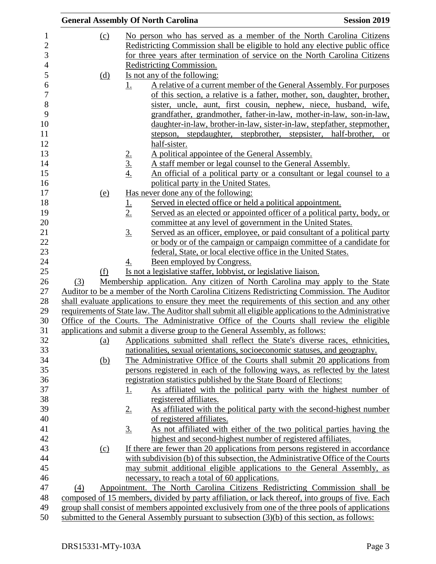|            | <b>General Assembly Of North Carolina</b>                                                                                     | <b>Session 2019</b> |
|------------|-------------------------------------------------------------------------------------------------------------------------------|---------------------|
| (c)        | No person who has served as a member of the North Carolina Citizens                                                           |                     |
|            | Redistricting Commission shall be eligible to hold any elective public office                                                 |                     |
|            | for three years after termination of service on the North Carolina Citizens                                                   |                     |
|            | Redistricting Commission.                                                                                                     |                     |
| <u>(d)</u> | Is not any of the following:                                                                                                  |                     |
|            | A relative of a current member of the General Assembly. For purposes<br>1.                                                    |                     |
|            | of this section, a relative is a father, mother, son, daughter, brother,                                                      |                     |
|            | sister, uncle, aunt, first cousin, nephew, niece, husband, wife,                                                              |                     |
|            | grandfather, grandmother, father-in-law, mother-in-law, son-in-law,                                                           |                     |
|            | daughter-in-law, brother-in-law, sister-in-law, stepfather, stepmother,                                                       |                     |
|            | stepson, stepdaughter, stepbrother, stepsister, half-brother, or                                                              |                     |
|            | half-sister.                                                                                                                  |                     |
|            | A political appointee of the General Assembly.                                                                                |                     |
|            | $\frac{2.}{3.}$<br>$\frac{4.}{4.}$<br>A staff member or legal counsel to the General Assembly.                                |                     |
|            | An official of a political party or a consultant or legal counsel to a                                                        |                     |
|            | political party in the United States.                                                                                         |                     |
| <u>(e)</u> | Has never done any of the following:                                                                                          |                     |
|            | Served in elected office or held a political appointment.<br><u>1.</u>                                                        |                     |
|            | 2.<br>Served as an elected or appointed officer of a political party, body, or                                                |                     |
|            | committee at any level of government in the United States.                                                                    |                     |
|            | $\underline{3}$ .<br>Served as an officer, employee, or paid consultant of a political party                                  |                     |
|            | or body or of the campaign or campaign committee of a candidate for                                                           |                     |
|            | federal, State, or local elective office in the United States.                                                                |                     |
|            | Been employed by Congress.<br><u>4.</u>                                                                                       |                     |
| (f)        | Is not a legislative staffer, lobbyist, or legislative liaison.                                                               |                     |
| (3)        | Membership application. Any citizen of North Carolina may apply to the State                                                  |                     |
|            | Auditor to be a member of the North Carolina Citizens Redistricting Commission. The Auditor                                   |                     |
|            | shall evaluate applications to ensure they meet the requirements of this section and any other                                |                     |
|            | requirements of State law. The Auditor shall submit all eligible applications to the Administrative                           |                     |
|            | Office of the Courts. The Administrative Office of the Courts shall review the eligible                                       |                     |
|            | applications and submit a diverse group to the General Assembly, as follows:                                                  |                     |
| <u>(a)</u> | Applications submitted shall reflect the State's diverse races, ethnicities,                                                  |                     |
|            | nationalities, sexual orientations, socioeconomic statuses, and geography.                                                    |                     |
| <u>(b)</u> | The Administrative Office of the Courts shall submit 20 applications from                                                     |                     |
|            | persons registered in each of the following ways, as reflected by the latest                                                  |                     |
|            | registration statistics published by the State Board of Elections:                                                            |                     |
|            | As affiliated with the political party with the highest number of<br><u>1.</u>                                                |                     |
|            | registered affiliates.                                                                                                        |                     |
|            | 2.<br>As affiliated with the political party with the second-highest number                                                   |                     |
|            | of registered affiliates.                                                                                                     |                     |
|            | $\underline{3}$ .<br>As not affiliated with either of the two political parties having the                                    |                     |
|            | highest and second-highest number of registered affiliates.                                                                   |                     |
| (c)        | If there are fewer than 20 applications from persons registered in accordance                                                 |                     |
|            | with subdivision (b) of this subsection, the Administrative Office of the Courts                                              |                     |
|            | may submit additional eligible applications to the General Assembly, as                                                       |                     |
|            | necessary, to reach a total of 60 applications.<br>Appointment. The North Carolina Citizens Redistricting Commission shall be |                     |
| (4)        | composed of 15 members, divided by party affiliation, or lack thereof, into groups of five. Each                              |                     |
|            | group shall consist of members appointed exclusively from one of the three pools of applications                              |                     |
|            | submitted to the General Assembly pursuant to subsection $(3)(b)$ of this section, as follows:                                |                     |
|            |                                                                                                                               |                     |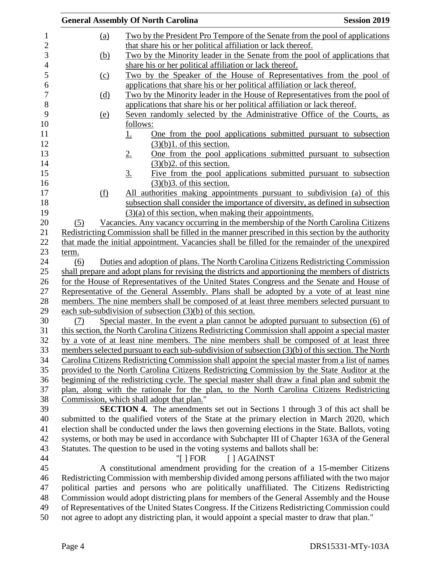|            | <b>General Assembly Of North Carolina</b>                                                                                                                                                       | <b>Session 2019</b> |
|------------|-------------------------------------------------------------------------------------------------------------------------------------------------------------------------------------------------|---------------------|
| <u>(a)</u> | Two by the President Pro Tempore of the Senate from the pool of applications                                                                                                                    |                     |
|            | that share his or her political affiliation or lack thereof.                                                                                                                                    |                     |
| <u>(b)</u> | Two by the Minority leader in the Senate from the pool of applications that                                                                                                                     |                     |
|            | share his or her political affiliation or lack thereof.                                                                                                                                         |                     |
| (c)        | Two by the Speaker of the House of Representatives from the pool of                                                                                                                             |                     |
|            | applications that share his or her political affiliation or lack thereof.                                                                                                                       |                     |
| <u>(d)</u> | Two by the Minority leader in the House of Representatives from the pool of                                                                                                                     |                     |
|            | applications that share his or her political affiliation or lack thereof.                                                                                                                       |                     |
| <u>(e)</u> | Seven randomly selected by the Administrative Office of the Courts, as                                                                                                                          |                     |
|            | follows:                                                                                                                                                                                        |                     |
|            | One from the pool applications submitted pursuant to subsection<br><u>1.</u>                                                                                                                    |                     |
|            | $(3)(b)1$ . of this section.                                                                                                                                                                    |                     |
|            | 2.<br>One from the pool applications submitted pursuant to subsection                                                                                                                           |                     |
|            | $(3)(b)$ 2. of this section.                                                                                                                                                                    |                     |
|            | $\underline{3}$ .<br>Five from the pool applications submitted pursuant to subsection                                                                                                           |                     |
|            | $(3)(b)$ 3. of this section.                                                                                                                                                                    |                     |
| <u>(f)</u> | All authorities making appointments pursuant to subdivision (a) of this                                                                                                                         |                     |
|            | subsection shall consider the importance of diversity, as defined in subsection                                                                                                                 |                     |
|            | $(3)(a)$ of this section, when making their appointments.                                                                                                                                       |                     |
| (5)        | Vacancies. Any vacancy occurring in the membership of the North Carolina Citizens                                                                                                               |                     |
|            | Redistricting Commission shall be filled in the manner prescribed in this section by the authority                                                                                              |                     |
|            | that made the initial appointment. Vacancies shall be filled for the remainder of the unexpired                                                                                                 |                     |
| term.      |                                                                                                                                                                                                 |                     |
| (6)        | Duties and adoption of plans. The North Carolina Citizens Redistricting Commission                                                                                                              |                     |
|            | shall prepare and adopt plans for revising the districts and apportioning the members of districts                                                                                              |                     |
|            | for the House of Representatives of the United States Congress and the Senate and House of                                                                                                      |                     |
|            | Representative of the General Assembly. Plans shall be adopted by a vote of at least nine                                                                                                       |                     |
|            | members. The nine members shall be composed of at least three members selected pursuant to                                                                                                      |                     |
|            | each sub-subdivision of subsection $(3)(b)$ of this section.                                                                                                                                    |                     |
| (7)        | Special master. In the event a plan cannot be adopted pursuant to subsection (6) of                                                                                                             |                     |
|            | this section, the North Carolina Citizens Redistricting Commission shall appoint a special master                                                                                               |                     |
|            | by a vote of at least nine members. The nine members shall be composed of at least three                                                                                                        |                     |
|            | members selected pursuant to each sub-subdivision of subsection (3)(b) of this section. The North                                                                                               |                     |
|            | Carolina Citizens Redistricting Commission shall appoint the special master from a list of names                                                                                                |                     |
|            | provided to the North Carolina Citizens Redistricting Commission by the State Auditor at the<br>beginning of the redistricting cycle. The special master shall draw a final plan and submit the |                     |
|            | plan, along with the rationale for the plan, to the North Carolina Citizens Redistricting                                                                                                       |                     |
|            | Commission, which shall adopt that plan."                                                                                                                                                       |                     |
|            | <b>SECTION 4.</b> The amendments set out in Sections 1 through 3 of this act shall be                                                                                                           |                     |
|            | submitted to the qualified voters of the State at the primary election in March 2020, which                                                                                                     |                     |
|            | election shall be conducted under the laws then governing elections in the State. Ballots, voting                                                                                               |                     |
|            | systems, or both may be used in accordance with Subchapter III of Chapter 163A of the General                                                                                                   |                     |
|            | Statutes. The question to be used in the voting systems and ballots shall be:                                                                                                                   |                     |
|            | "[ $\vert$ FOR<br>[ ] AGAINST                                                                                                                                                                   |                     |
|            | A constitutional amendment providing for the creation of a 15-member Citizens                                                                                                                   |                     |
|            | Redistricting Commission with membership divided among persons affiliated with the two major                                                                                                    |                     |
|            | political parties and persons who are politically unaffiliated. The Citizens Redistricting                                                                                                      |                     |
|            | Commission would adopt districting plans for members of the General Assembly and the House                                                                                                      |                     |
|            | of Representatives of the United States Congress. If the Citizens Redistricting Commission could                                                                                                |                     |
|            | not agree to adopt any districting plan, it would appoint a special master to draw that plan."                                                                                                  |                     |
|            |                                                                                                                                                                                                 |                     |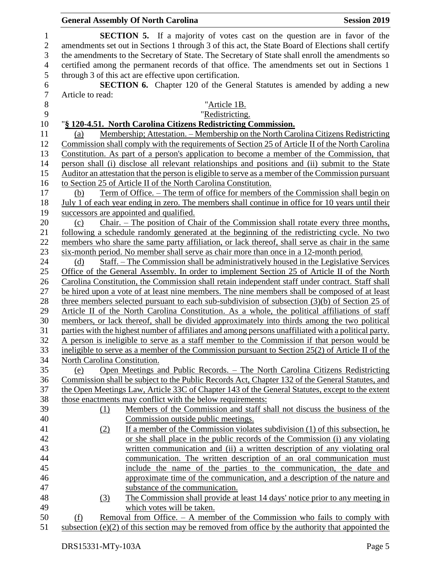|                  |                              | <b>General Assembly Of North Carolina</b><br><b>Session 2019</b>                                                                                                                                     |  |
|------------------|------------------------------|------------------------------------------------------------------------------------------------------------------------------------------------------------------------------------------------------|--|
| 1                |                              | <b>SECTION 5.</b> If a majority of votes cast on the question are in favor of the                                                                                                                    |  |
| $\sqrt{2}$       |                              | amendments set out in Sections 1 through 3 of this act, the State Board of Elections shall certify                                                                                                   |  |
| 3                |                              | the amendments to the Secretary of State. The Secretary of State shall enroll the amendments so                                                                                                      |  |
| $\overline{4}$   |                              | certified among the permanent records of that office. The amendments set out in Sections 1                                                                                                           |  |
| 5                |                              | through 3 of this act are effective upon certification.                                                                                                                                              |  |
| $\boldsymbol{6}$ |                              | <b>SECTION 6.</b> Chapter 120 of the General Statutes is amended by adding a new                                                                                                                     |  |
| $\tau$           | Article to read:             |                                                                                                                                                                                                      |  |
| 8                |                              | "Article 1B.                                                                                                                                                                                         |  |
| 9                |                              | "Redistricting.                                                                                                                                                                                      |  |
| 10               |                              | "§ 120-4.51. North Carolina Citizens Redistricting Commission.                                                                                                                                       |  |
| 11               | (a)                          | Membership; Attestation. - Membership on the North Carolina Citizens Redistricting                                                                                                                   |  |
| 12               |                              | Commission shall comply with the requirements of Section 25 of Article II of the North Carolina                                                                                                      |  |
| 13               |                              | Constitution. As part of a person's application to become a member of the Commission, that                                                                                                           |  |
| 14               |                              | person shall (i) disclose all relevant relationships and positions and (ii) submit to the State                                                                                                      |  |
| 15               |                              | Auditor an attestation that the person is eligible to serve as a member of the Commission pursuant                                                                                                   |  |
| 16               |                              | to Section 25 of Article II of the North Carolina Constitution.                                                                                                                                      |  |
| 17               | (b)                          | <u>Term of Office. – The term of office for members of the Commission shall begin on</u>                                                                                                             |  |
| 18               |                              | July 1 of each year ending in zero. The members shall continue in office for 10 years until their                                                                                                    |  |
| 19               |                              | successors are appointed and qualified.                                                                                                                                                              |  |
| 20               | (c)                          | Chair. – The position of Chair of the Commission shall rotate every three months,                                                                                                                    |  |
| 21               |                              | following a schedule randomly generated at the beginning of the redistricting cycle. No two                                                                                                          |  |
| 22               |                              | members who share the same party affiliation, or lack thereof, shall serve as chair in the same                                                                                                      |  |
| 23               |                              | six-month period. No member shall serve as chair more than once in a 12-month period.                                                                                                                |  |
| 24               | (d)                          | Staff. – The Commission shall be administratively housed in the Legislative Services                                                                                                                 |  |
| 25               |                              | Office of the General Assembly. In order to implement Section 25 of Article II of the North                                                                                                          |  |
| 26               |                              | Carolina Constitution, the Commission shall retain independent staff under contract. Staff shall                                                                                                     |  |
| 27               |                              | be hired upon a vote of at least nine members. The nine members shall be composed of at least                                                                                                        |  |
| 28               |                              | three members selected pursuant to each sub-subdivision of subsection $(3)(b)$ of Section 25 of                                                                                                      |  |
| 29<br>30         |                              | Article II of the North Carolina Constitution. As a whole, the political affiliations of staff                                                                                                       |  |
| 31               |                              | members, or lack thereof, shall be divided approximately into thirds among the two political<br>parties with the highest number of affiliates and among persons unaffiliated with a political party. |  |
| 32               |                              | A person is ineligible to serve as a staff member to the Commission if that person would be                                                                                                          |  |
| 33               |                              | ineligible to serve as a member of the Commission pursuant to Section 25(2) of Article II of the                                                                                                     |  |
| 34               | North Carolina Constitution. |                                                                                                                                                                                                      |  |
| 35               | (e)                          | Open Meetings and Public Records. - The North Carolina Citizens Redistricting                                                                                                                        |  |
| 36               |                              | Commission shall be subject to the Public Records Act, Chapter 132 of the General Statutes, and                                                                                                      |  |
| 37               |                              | the Open Meetings Law, Article 33C of Chapter 143 of the General Statutes, except to the extent                                                                                                      |  |
| 38               |                              | those enactments may conflict with the below requirements:                                                                                                                                           |  |
| 39               | (1)                          | Members of the Commission and staff shall not discuss the business of the                                                                                                                            |  |
| 40               |                              | Commission outside public meetings.                                                                                                                                                                  |  |
| 41               | (2)                          | If a member of the Commission violates subdivision (1) of this subsection, he                                                                                                                        |  |
| 42               |                              | or she shall place in the public records of the Commission (i) any violating                                                                                                                         |  |
| 43               |                              | written communication and (ii) a written description of any violating oral                                                                                                                           |  |
| 44               |                              | communication. The written description of an oral communication must                                                                                                                                 |  |
| 45               |                              | include the name of the parties to the communication, the date and                                                                                                                                   |  |
| 46               |                              | approximate time of the communication, and a description of the nature and                                                                                                                           |  |
| 47               |                              | substance of the communication.                                                                                                                                                                      |  |
| 48               | (3)                          | The Commission shall provide at least 14 days' notice prior to any meeting in                                                                                                                        |  |
| 49               |                              | which votes will be taken.                                                                                                                                                                           |  |
| 50               | (f)                          | Removal from Office. $-$ A member of the Commission who fails to comply with                                                                                                                         |  |
| 51               |                              | subsection $(e)(2)$ of this section may be removed from office by the authority that appointed the                                                                                                   |  |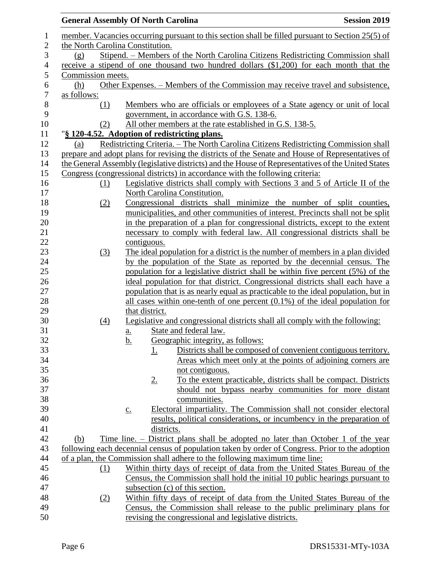|                  | <b>General Assembly Of North Carolina</b>     |                   |                |                                                                                                    | <b>Session 2019</b>                                              |
|------------------|-----------------------------------------------|-------------------|----------------|----------------------------------------------------------------------------------------------------|------------------------------------------------------------------|
| 1                |                                               |                   |                | member. Vacancies occurring pursuant to this section shall be filled pursuant to Section 25(5) of  |                                                                  |
| $\sqrt{2}$       | the North Carolina Constitution.              |                   |                |                                                                                                    |                                                                  |
| 3                | (g)                                           |                   |                | Stipend. – Members of the North Carolina Citizens Redistricting Commission shall                   |                                                                  |
| $\overline{4}$   |                                               |                   |                | receive a stipend of one thousand two hundred dollars (\$1,200) for each month that the            |                                                                  |
| $\mathfrak s$    | Commission meets.                             |                   |                |                                                                                                    |                                                                  |
| 6                | (h)                                           |                   |                | Other Expenses. – Members of the Commission may receive travel and subsistence,                    |                                                                  |
| $\boldsymbol{7}$ | as follows:                                   |                   |                |                                                                                                    |                                                                  |
| $\, 8$           | (1)                                           |                   |                | Members who are officials or employees of a State agency or unit of local                          |                                                                  |
| 9                |                                               |                   |                | government, in accordance with G.S. 138-6.                                                         |                                                                  |
| 10               | (2)                                           |                   |                | All other members at the rate established in G.S. 138-5.                                           |                                                                  |
| 11               | "§ 120-4.52. Adoption of redistricting plans. |                   |                |                                                                                                    |                                                                  |
| 12               | (a)                                           |                   |                | Redistricting Criteria. – The North Carolina Citizens Redistricting Commission shall               |                                                                  |
| 13               |                                               |                   |                | prepare and adopt plans for revising the districts of the Senate and House of Representatives of   |                                                                  |
| 14               |                                               |                   |                | the General Assembly (legislative districts) and the House of Representatives of the United States |                                                                  |
| 15               |                                               |                   |                | Congress (congressional districts) in accordance with the following criteria:                      |                                                                  |
| 16               | (1)                                           |                   |                | Legislative districts shall comply with Sections 3 and 5 of Article II of the                      |                                                                  |
| 17               |                                               |                   |                | North Carolina Constitution.                                                                       |                                                                  |
| 18               | (2)                                           |                   |                | Congressional districts shall minimize the number of split counties,                               |                                                                  |
| 19               |                                               |                   |                | municipalities, and other communities of interest. Precincts shall not be split                    |                                                                  |
| 20               |                                               |                   |                | in the preparation of a plan for congressional districts, except to the extent                     |                                                                  |
| 21               |                                               |                   |                | necessary to comply with federal law. All congressional districts shall be                         |                                                                  |
| 22               |                                               |                   | contiguous.    |                                                                                                    |                                                                  |
| 23               | (3)                                           |                   |                | The ideal population for a district is the number of members in a plan divided                     |                                                                  |
| 24               |                                               |                   |                | by the population of the State as reported by the decennial census. The                            |                                                                  |
| $25\,$           |                                               |                   |                | population for a legislative district shall be within five percent (5%) of the                     |                                                                  |
| 26               |                                               |                   |                | ideal population for that district. Congressional districts shall each have a                      |                                                                  |
| 27               |                                               |                   |                | population that is as nearly equal as practicable to the ideal population, but in                  |                                                                  |
| 28               |                                               |                   |                | all cases within one-tenth of one percent $(0.1\%)$ of the ideal population for                    |                                                                  |
| 29               |                                               |                   | that district. |                                                                                                    |                                                                  |
| 30               | (4)                                           |                   |                | Legislative and congressional districts shall all comply with the following:                       |                                                                  |
| 31               |                                               | a.                |                | State and federal law.                                                                             |                                                                  |
| 32               |                                               | <u>b.</u>         |                | Geographic integrity, as follows:                                                                  |                                                                  |
| 33               |                                               |                   | <u>1.</u>      |                                                                                                    | Districts shall be composed of convenient contiguous territory.  |
| 34               |                                               |                   |                |                                                                                                    | Areas which meet only at the points of adjoining corners are     |
| 35               |                                               |                   |                | not contiguous.                                                                                    |                                                                  |
| 36               |                                               |                   | $2_{\cdot}$    |                                                                                                    | To the extent practicable, districts shall be compact. Districts |
| 37               |                                               |                   |                |                                                                                                    | should not bypass nearby communities for more distant            |
| 38               |                                               |                   |                | communities.                                                                                       |                                                                  |
| 39               |                                               | $\underline{c}$ . |                | Electoral impartiality. The Commission shall not consider electoral                                |                                                                  |
| 40               |                                               |                   |                | results, political considerations, or incumbency in the preparation of                             |                                                                  |
| 41               |                                               |                   | districts.     |                                                                                                    |                                                                  |
| 42               | (b)                                           |                   |                | Time line. – District plans shall be adopted no later than October 1 of the year                   |                                                                  |
| 43               |                                               |                   |                | following each decennial census of population taken by order of Congress. Prior to the adoption    |                                                                  |
| 44               |                                               |                   |                | of a plan, the Commission shall adhere to the following maximum time line:                         |                                                                  |
| 45               | (1)                                           |                   |                | Within thirty days of receipt of data from the United States Bureau of the                         |                                                                  |
| 46               |                                               |                   |                | Census, the Commission shall hold the initial 10 public hearings pursuant to                       |                                                                  |
| 47               |                                               |                   |                | subsection (c) of this section.                                                                    |                                                                  |
| 48               | (2)                                           |                   |                | Within fifty days of receipt of data from the United States Bureau of the                          |                                                                  |
| 49               |                                               |                   |                | Census, the Commission shall release to the public preliminary plans for                           |                                                                  |
| 50               |                                               |                   |                | revising the congressional and legislative districts.                                              |                                                                  |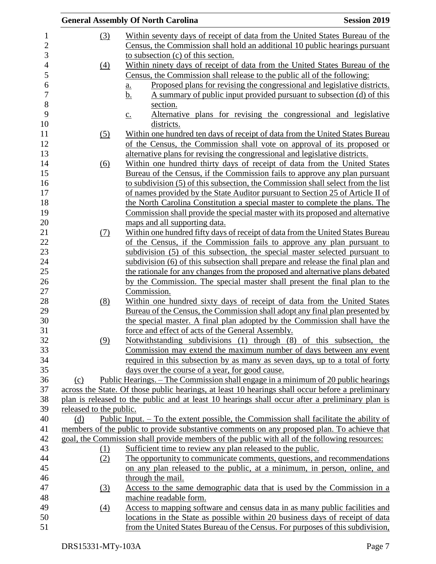|                         | <b>General Assembly Of North Carolina</b>                                                         | <b>Session 2019</b> |
|-------------------------|---------------------------------------------------------------------------------------------------|---------------------|
| (3)                     | Within seventy days of receipt of data from the United States Bureau of the                       |                     |
|                         | Census, the Commission shall hold an additional 10 public hearings pursuant                       |                     |
|                         | to subsection (c) of this section.                                                                |                     |
| $\underline{(4)}$       | Within ninety days of receipt of data from the United States Bureau of the                        |                     |
|                         | Census, the Commission shall release to the public all of the following:                          |                     |
|                         | Proposed plans for revising the congressional and legislative districts.<br><u>a.</u>             |                     |
|                         | A summary of public input provided pursuant to subsection (d) of this<br><u>b.</u>                |                     |
|                         | section.                                                                                          |                     |
|                         | Alternative plans for revising the congressional and legislative<br>$\underline{c}$ .             |                     |
|                         | districts.                                                                                        |                     |
| (5)                     | Within one hundred ten days of receipt of data from the United States Bureau                      |                     |
|                         | of the Census, the Commission shall vote on approval of its proposed or                           |                     |
|                         | alternative plans for revising the congressional and legislative districts.                       |                     |
| (6)                     | Within one hundred thirty days of receipt of data from the United States                          |                     |
|                         | Bureau of the Census, if the Commission fails to approve any plan pursuant                        |                     |
|                         | to subdivision (5) of this subsection, the Commission shall select from the list                  |                     |
|                         | of names provided by the State Auditor pursuant to Section 25 of Article II of                    |                     |
|                         | the North Carolina Constitution a special master to complete the plans. The                       |                     |
|                         | Commission shall provide the special master with its proposed and alternative                     |                     |
|                         | maps and all supporting data.                                                                     |                     |
| (7)                     | Within one hundred fifty days of receipt of data from the United States Bureau                    |                     |
|                         | of the Census, if the Commission fails to approve any plan pursuant to                            |                     |
|                         | subdivision (5) of this subsection, the special master selected pursuant to                       |                     |
|                         | subdivision (6) of this subsection shall prepare and release the final plan and                   |                     |
|                         | the rationale for any changes from the proposed and alternative plans debated                     |                     |
|                         | by the Commission. The special master shall present the final plan to the                         |                     |
|                         | Commission.                                                                                       |                     |
| (8)                     | Within one hundred sixty days of receipt of data from the United States                           |                     |
|                         | Bureau of the Census, the Commission shall adopt any final plan presented by                      |                     |
|                         | the special master. A final plan adopted by the Commission shall have the                         |                     |
|                         | force and effect of acts of the General Assembly.                                                 |                     |
| (9)                     | Notwithstanding subdivisions (1) through (8) of this subsection, the                              |                     |
|                         | Commission may extend the maximum number of days between any event                                |                     |
|                         | required in this subsection by as many as seven days, up to a total of forty                      |                     |
|                         | days over the course of a year, for good cause.                                                   |                     |
| (c)                     | Public Hearings. – The Commission shall engage in a minimum of 20 public hearings                 |                     |
|                         | across the State. Of those public hearings, at least 10 hearings shall occur before a preliminary |                     |
|                         | plan is released to the public and at least 10 hearings shall occur after a preliminary plan is   |                     |
| released to the public. |                                                                                                   |                     |
| (d)                     | <u>Public Input. – To the extent possible, the Commission shall facilitate the ability of</u>     |                     |
|                         | members of the public to provide substantive comments on any proposed plan. To achieve that       |                     |
|                         | goal, the Commission shall provide members of the public with all of the following resources:     |                     |
| (1)                     | Sufficient time to review any plan released to the public.                                        |                     |
| (2)                     | The opportunity to communicate comments, questions, and recommendations                           |                     |
|                         | on any plan released to the public, at a minimum, in person, online, and                          |                     |
|                         | through the mail.                                                                                 |                     |
| (3)                     | Access to the same demographic data that is used by the Commission in a                           |                     |
|                         | machine readable form.                                                                            |                     |
| $\Delta$                | Access to mapping software and census data in as many public facilities and                       |                     |
|                         | locations in the State as possible within 20 business days of receipt of data                     |                     |
|                         | from the United States Bureau of the Census. For purposes of this subdivision,                    |                     |
|                         |                                                                                                   |                     |